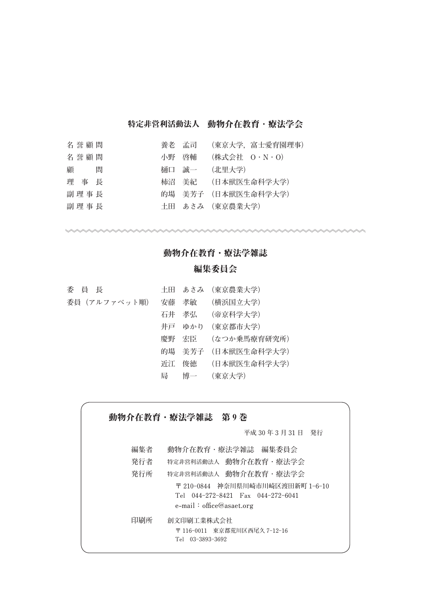### 特定非営利活動法人 動物介在教育 · 療法学会

| 名誉顧問   |       | 養老 孟司 (東京大学, 富士愛育園理事) |
|--------|-------|-----------------------|
| 名誉顧問   | 小野 啓輔 | (株式会社 0・N・O)          |
| 顧<br>間 |       | 樋口 誠一  (北里大学)         |
| 理事長    |       | 柿沼 美紀 (日本獣医生命科学大学)    |
| 副理事長   |       | 的場 美芳子 (日本獣医生命科学大学)   |
| 副理事長   |       | 土田 あさみ (東京農業大学)       |

# 動物介在教育・療法学雑誌

## 編集委員会

| 委員長          |   | 土田 あさみ (東京農業大学)     |
|--------------|---|---------------------|
| 委員(アルファベット順) |   | 安藤 孝敏 (横浜国立大学)      |
|              |   | 石井 孝弘  (帝京科学大学)     |
|              |   | 井戸 ゆかり (東京都市大学)     |
|              |   | 慶野 宏臣  (なつか乗馬療育研究所) |
|              |   | 的場 美芳子 (日本獣医生命科学大学) |
|              |   | 近江 俊徳  (日本獣医生命科学大学) |
|              | 局 | 博一 (東京大学)           |

動物介在教育·療法学雑誌 第9巻

**平成 30 年 3 月 31 日 発行**

\*\*\*\*\*\*\*\*\*\*\*\*\*\*\*\*\*\*\*

| 編集者 | 動物介在教育・療法学雑誌 編集委員会                                                                                 |
|-----|----------------------------------------------------------------------------------------------------|
| 発行者 | 特定非営利活動法人 動物介在教育・療法学会                                                                              |
| 発行所 | 特定非営利活動法人 動物介在教育・療法学会                                                                              |
|     | 〒 210-0844 神奈川県川崎市川崎区渡田新町 1-6-10<br>Tel 044-272-8421 Fax 044-272-6041<br>e-mail: $offce@asaet.org$ |
| 印刷所 | 創文印刷工業株式会社<br>〒 116-0011 東京都荒川区西尾久 7-12-16<br>Tel 03-3893-3692                                     |